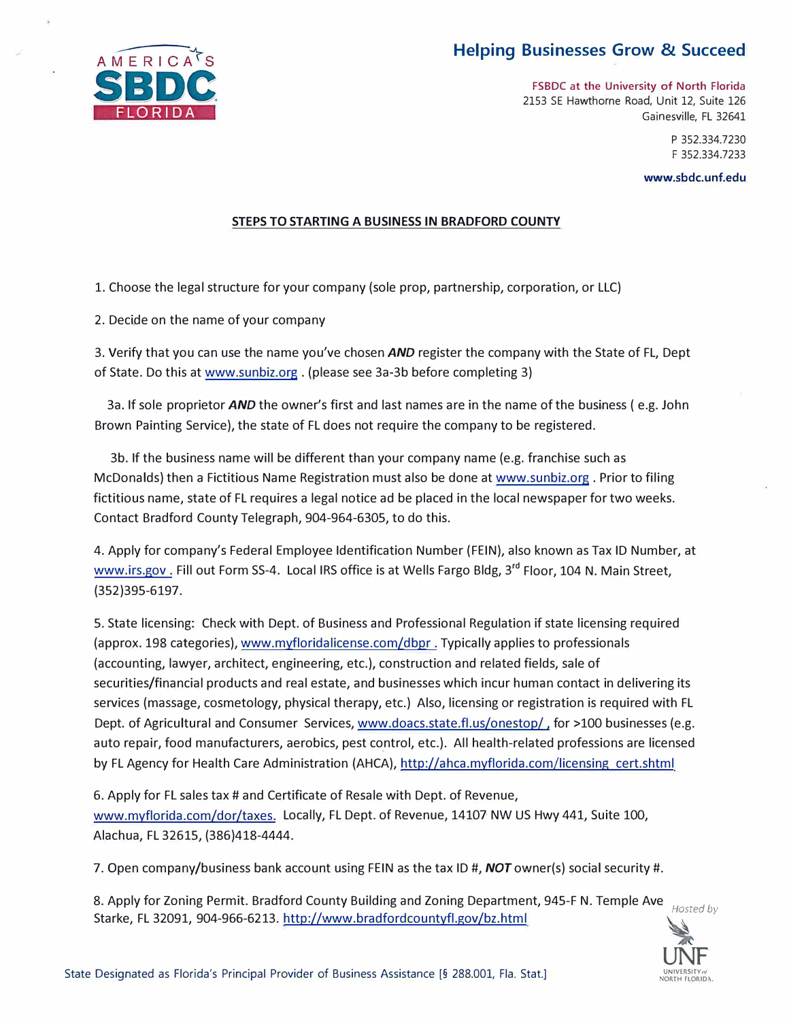## **Helping Businesses Grow & Succeed**



**FSBDC at the University of North Florida**  2153 SE Hawthorne Road, Unit 12, Suite 126 Gainesville, FL 32641

> P 352.334.7230 F 352.334.7233

**[www.sbdc.unf.edu](http://www.sbdc.unf.edu)** 

## **STEPS TO STARTING A BUSINESS IN BRADFORD COUNTY**

1. Choose the legal structure for your company (sole prop, partnership, corporation, or LLC)

2. Decide on the name of your company

3. Verify that you can use the name you've chosen *AND* register the company with the State of FL, Dept of State. Do this at [www.sunbiz.org . \(p](http://www.sunbiz.org)lease see 3a-3b before completing 3)

3a. If sole proprietor *AND* the owner's first and last names are in the name of the business ( e.g. John Brown Painting Service), the state of FL does not require the company to be registered.

3b. If the business name will be different than your company name (e.g. franchise such as McDonalds) then a Fictitious Name Registration must also be done at [www.sunbiz.org . P](http://www.sunbiz.org)rior to filing fictitious name, state of FL requires a legal notice ad be placed in the local newspaper for two weeks. Contact Bradford County Telegraph, 904-964-6305, to do this.

4. Apply for company's Federal Employee Identification Number (FEIN), also known as Tax ID Number, at [www.irs.gov](http://www.irs.gov) . Fill out Form SS-4. Local IRS office is at Wells Fargo Bldg, 3 **rd** Floor, 104 N. Main Street, (352)395-6197.

5. State licensing: Check with Dept. of Business and Professional Regulation if state licensing required (approx. 198 categories), [www.myfloridalicense.com/dbpr](http://www.myfloridalicense.com/dbpr) . Typically applies to professionals (accounting, lawyer, architect, engineering, etc.), construction and related fields, sale of securities/financial products and real estate, and businesses which incur human contact in delivering its services (massage, cosmetology, physical therapy, etc.) Also, licensing or registration is required with FL Dept. of Agricultural and Consumer Services, [www.doacs.state.fl.us/onestop/](http://www.doacs.state.fl.us/onestop/), for >100 businesses (e.g. auto repair, food manufacturers, aerobics, pest control, etc.). All health-related professions are licensed by FL Agency for Health Care Administration (AHCA), [http://ahca.myflorida.com/licensing ce](http://ahca.myflorida.com/licensing)rt.shtml

6. Apply for FL sales tax# and Certificate of Resale with Dept. of Revenue, [www.myflorida.com/dor/taxes. Lo](http://www.myflorida.com/dor/taxes)cally, FL Dept. of Revenue, 14107 NW US Hwy 441, Suite 100, Alachua, FL 32615, (386)418-4444.

7. Open company/business bank account using FEIN as the tax ID #, *NOT* owner(s) social security #.

8. Apply for Zoning Permit. Bradford County Building and Zoning Department, 945-F N. Temple Ave Starke, FL 32091, 904-966-6213. <http://www.bradfordcountyfl.gov/bz.html> *Hosted by* 

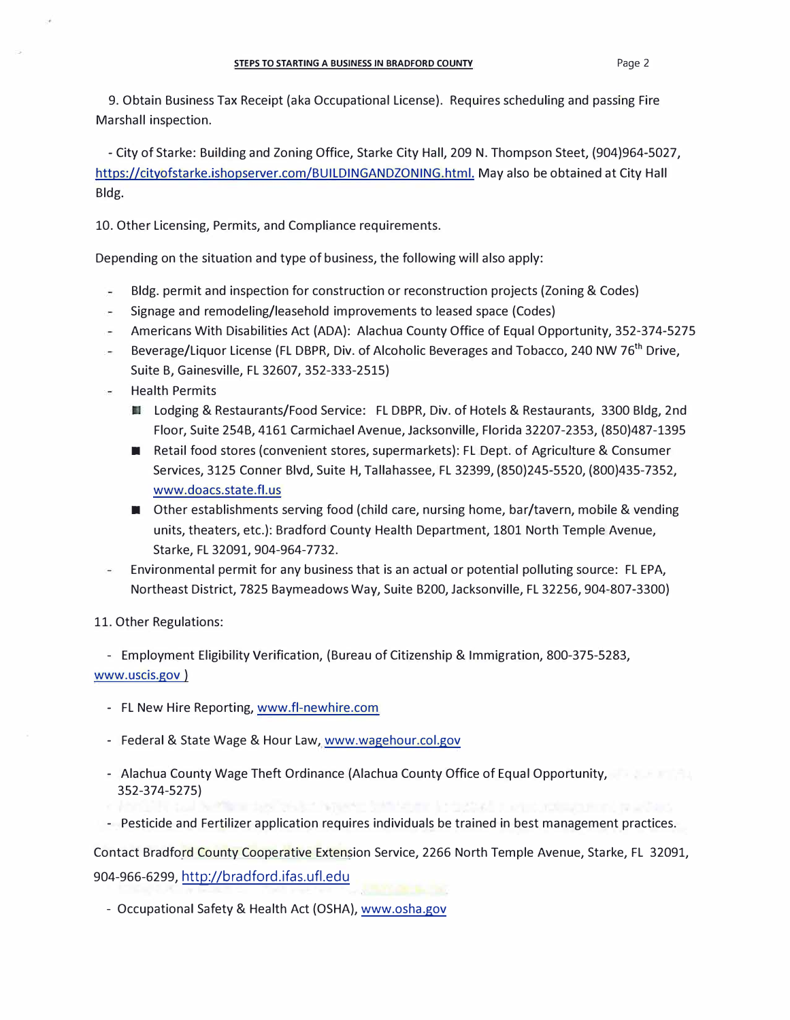9. Obtain Business Tax Receipt (aka Occupational License). Requires scheduling and passing Fire Marshall inspection.

- City of Starke: Building and Zoning Office, Starke City Hall, 209 N. Thompson Steet, (904)964-5027, [https://cityofstarke.ishopserver.com/BUILDINGANDZONING.html.](https://cityofstarke.ishopserver.com/BUILDINGANDZONING.html) May also be obtained at City Hall Bldg.

10. Other Licensing, Permits, and Compliance requirements.

Depending on the situation and type of business, the following will also apply:

- Bldg. permit and inspection for construction or reconstruction projects (Zoning & Codes)
- Signage and remodeling/leasehold improvements to leased space (Codes)
- Americans With Disabilities Act (ADA): Alachua County Office of Equal Opportunity, 352-374-5275
- Beverage/Liquor License (FL DBPR, Div. of Alcoholic Beverages and Tobacco, 240 NW 76<sup>th</sup> Drive, Suite B, Gainesville, FL 32607, 352-333-2515)
- Health Permits
	- Lodging & Restaurants/Food Service: FL DBPR, Div. of Hotels & Restaurants, 3300 Bldg, 2nd Floor, Suite 254B, 4161 Carmichael Avenue, Jacksonville, Florida 32207-2353, (850)487-1395
	- Retail food stores (convenient stores, supermarkets): FL Dept. of Agriculture & Consumer Services, 3125 Conner Blvd, Suite H, Tallahassee, FL 32399, (850)245-5520, (800)435-7352, [www.doacs.state.fl.us](http://www.doacs.state.fl.us)
	- Other establishments serving food (child care, nursing home, bar/tavern, mobile & vending units, theaters, etc.): Bradford County Health Department, 1801 North Temple Avenue, Starke, FL 32091, 904-964-7732.
- Environmental permit for any business that is an actual or potential polluting source: FL EPA, Northeast District, 7825 Baymeadows Way, Suite B200, Jacksonville, FL 32256, 904-807-3300)

11. Other Regulations:

- Employment Eligibility Verification, (Bureau of Citizenship & Immigration, 800-375-5283, [www.uscis.gov](http://www.uscis.gov) )

- FL New Hire Reporting, [www.fl-newhire.com](http://www.fl-newhire.com)
- Federal & State Wage & Hour Law, [www.wagehour.col.gov](http://www.wagehour.col.gov)
- Alachua County Wage Theft Ordinance (Alachua County Office of Equal Opportunity, 352-374-5275)
- Pesticide and Fertilizer application requires individuals be trained in best management practices.

Contact Bradford County Cooperative Extension Service, 2266 North Temple Avenue, Starke, FL 32091, 904-966-6299, <http://bradford.ifas.ufl.edu>

- Occupational Safety & Health Act (OSHA), [www.osha.gov](http://www.osha.gov)